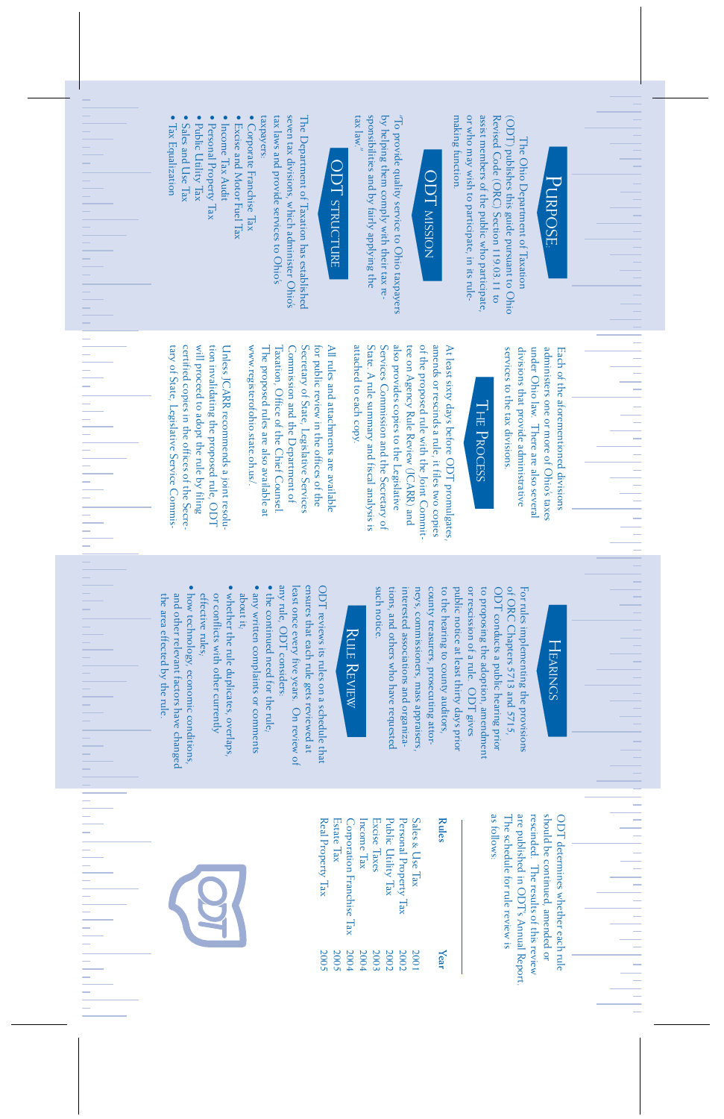# PURPOSE

÷

÷

÷

 $\rightarrow$  $\overline{\phantom{a}}$ 

 $\overline{\phantom{a}}$ 

٠

 $\overline{\phantom{a}}$ 

 $\overline{\phantom{a}}$ 

 $\overline{\phantom{a}}$  $\overline{\phantom{a}}$ Ţ

or who may wish to participate, in its rulemaking function. assist members of the public who participate, Revised Code (ORC) Section 119.03.11 to (ODT) publishes this guide pursuant to Ohio making function. or who may wish to participate, in its ruleassist members of the public who participate, Revised Code (ORC) Section 119.03.11 to (ODT) publishes this guide pursuant to Ohio The Ohio Department of Taxation The Ohio Department of Taxation

tax laws and provide services to Ohio's taxpayers: seven tax divisions, which administer Ohio's The Department of Taxation has established taxpayers: tax laws and provide services to Ohio's seven tax divisions, which administer Ohio's The Department of Taxation has established

- Corporate Franchise Tax • Corporate Franchise Tax
- Excise and Motor Fuel Tax • Excise and Motor Fuel Tax
- Income Tax Audit · Income Tax Audit
- Personal Property Tax Personal Property Tax
- Public Utility Tax Public Utility Tax
- Sales and Use Tax Sales and Use Tax
- Tax Equalization Tax Equalization

 $\frac{1}{1}$ 

 $\frac{1}{1}$ 

E<br>F<br>F

by helping them comply with their tax responsibilities and by fairly applying the  $T_0$  provide quality service to Ohio taxpayers tax law." sponsibilities and by fairly applying the by helping them comply with their tax re- "To provide quality service to Ohio taxpayers

of the proposed rule with the Joint Commitattached to each copy. State. A rule summary and fiscal analysis is Services Commission and the Secretary of tee on Agency Rule Review (JCARR) and At least sixty days before ODT promulgates attached to each copy. State. A rule summary and fiscal analysis is Services Commission and the Secretary of also provides copies to the Legislative also provides copies to the Legislative tee on Agency Rule Review (JCARR) and of the proposed rule with the Joint Commitamends or rescinds a rule, it files two copies amends or rescinds a rule, it files two copies At least sixty days before ODT promulgates,

under Ohio law. There are also several divisions that provide administrative administers one or more of Ohio's taxes services to the tax divisions. under Ohio law. There are also several Each of the aforementioned divisions Each of the aforementioned divisions services to the tax divisions. divisions that provide administrative administers one or more of Ohio's taxes

tary of State, Legislative Service Commiswill proceed to adopt the rule by filing tion invalidating the proposed rule, ODT Unless JCARR recommends a joint resolutary of State, Legislative Service Commiscertified copies in the offices of the Secrecertified copies in the offices of the Secrewill proceed to adopt the rule by filing tion invalidating the proposed rule, ODT Unless JCARR recommends a joint resoluwww.registerofohio.state.oh.us/. The proposed rules are also available at Taxation, Office of the Chief Counsel. Commission and the Department of Secretary of State, Legislative Services All rules and attachments are available www.registerofohio.state.oh.us/. The proposed rules are also available at Taxation, Office of the Chief Counsel. Commission and the Department of Secretary of State, Legislative Services for public review in the offices of the for public review in the offices of the All rules and attachments are available

> any rule, ODT considers: least once every five years. On review of ensures that each rule gets reviewed at ODT reviews its rules on a schedule that any rule, ODT considers: least once every five years. On review of ensures that each rule gets reviewed at ODT reviews its rules on a schedule that

- the continued need for the rule, • any written complaints or comments • the continued need for the rule;
- · any written complaints or comments about it;
- whether the rule duplicates, overlaps, • whether the rule duplicates, overlaps, or conflicts with other currently or conflicts with other currently
- · how technology, economic conditions, the area effected by the rule. and other relevant factors have changed • how technology, economic conditions, effective rules; and other relevant factors have changed the area effected by the rule. ettective rules;

are published in ODT's Annual Report. rescinded. The results of this review should be continued, amended or The schedule for rule review is ODT determines whether each rule as follows: The schedule for rule review is are published in ODT's Annual Report. rescinded. The results of this review should be continued, amended or ODT determines whether each rule tollows:

tions, and others who have requested interested associations and organizapublic notice at least thirty days prior or rescission of a rule. ODT gives ODT conducts a public hearing prior of ORC Chapters 5713 and 5715, such notice. neys, commissioners, mass appraisers, county treasurers, prosecuting attorto the hearing to county auditors, to proposing the adoption, amendment For rules implementing the provisions such notice. tions, and others who have requested interested associations and organizaneys, commissioners, mass appraisers, county treasurers, prosecuting attorto the hearing to county auditors, public notice at least thirty days prior or rescission of a rule. ODT gives to proposing the adoption, amendment ODT conducts a public hearing prior of ORC Chapters 5713 and 5715, For rules implementing the provisions

### **ODT MISSION** ODT MISSION

## ODT STRUCTURE **ODT STRUCTURE**

### THE PROCESS I HE PROCESS

### HEARINGS HEARINGS

### RULE REVIEW RULE REVIEW

| Rules                     | Year |
|---------------------------|------|
| Sales & Use Tax           | 2001 |
| Personal Property Tax     | 2002 |
| Public Utility Tax        | 2002 |
| Excise Taxes              | 2003 |
| Income Tax                | 2004 |
| Corporation Franchise Tax | 2004 |
| Estate Tax                | 2005 |
| Real Property Tax         | 2005 |